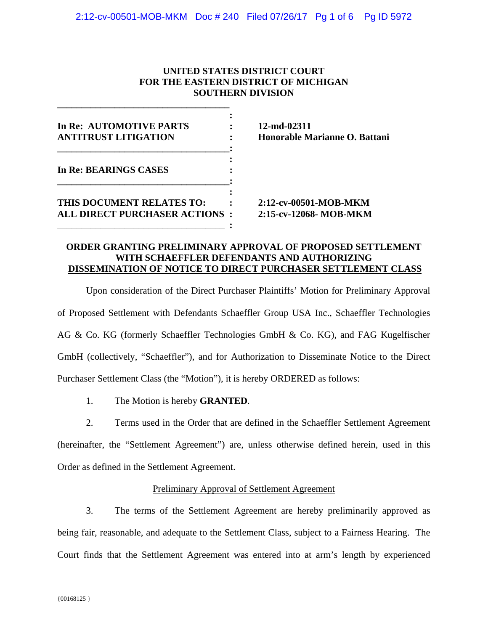# **UNITED STATES DISTRICT COURT FOR THE EASTERN DISTRICT OF MICHIGAN SOUTHERN DIVISION**

| In Re: AUTOMOTIVE PARTS<br><b>ANTITRUST LITIGATION</b>            |  |
|-------------------------------------------------------------------|--|
| In Re: BEARINGS CASES                                             |  |
| THIS DOCUMENT RELATES TO:<br><b>ALL DIRECT PURCHASER ACTIONS:</b> |  |

**\_\_\_\_\_\_\_\_\_\_\_\_\_\_\_\_\_\_\_\_\_\_\_\_\_\_\_\_\_\_\_\_\_\_\_\_** 

**12-md-02311 Honorable Marianne O. Battani** 

2:12-cv-00501-MOB-MKM 2:15-cv-12068- MOB-MKM

### **ORDER GRANTING PRELIMINARY APPROVAL OF PROPOSED SETTLEMENT WITH SCHAEFFLER DEFENDANTS AND AUTHORIZING DISSEMINATION OF NOTICE TO DIRECT PURCHASER SETTLEMENT CLASS**

Upon consideration of the Direct Purchaser Plaintiffs' Motion for Preliminary Approval of Proposed Settlement with Defendants Schaeffler Group USA Inc., Schaeffler Technologies AG & Co. KG (formerly Schaeffler Technologies GmbH & Co. KG), and FAG Kugelfischer GmbH (collectively, "Schaeffler"), and for Authorization to Disseminate Notice to the Direct Purchaser Settlement Class (the "Motion"), it is hereby ORDERED as follows:

1. The Motion is hereby **GRANTED**.

2. Terms used in the Order that are defined in the Schaeffler Settlement Agreement (hereinafter, the "Settlement Agreement") are, unless otherwise defined herein, used in this Order as defined in the Settlement Agreement.

# Preliminary Approval of Settlement Agreement

3. The terms of the Settlement Agreement are hereby preliminarily approved as being fair, reasonable, and adequate to the Settlement Class, subject to a Fairness Hearing. The Court finds that the Settlement Agreement was entered into at arm's length by experienced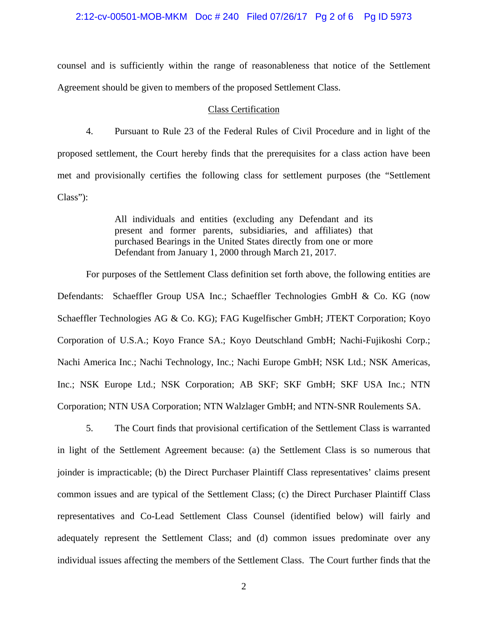2:12-cv-00501-MOB-MKM Doc # 240 Filed 07/26/17 Pg 2 of 6 Pg ID 5973

counsel and is sufficiently within the range of reasonableness that notice of the Settlement Agreement should be given to members of the proposed Settlement Class.

#### Class Certification

4. Pursuant to Rule 23 of the Federal Rules of Civil Procedure and in light of the proposed settlement, the Court hereby finds that the prerequisites for a class action have been met and provisionally certifies the following class for settlement purposes (the "Settlement Class"):

> All individuals and entities (excluding any Defendant and its present and former parents, subsidiaries, and affiliates) that purchased Bearings in the United States directly from one or more Defendant from January 1, 2000 through March 21, 2017.

For purposes of the Settlement Class definition set forth above, the following entities are Defendants: Schaeffler Group USA Inc.; Schaeffler Technologies GmbH & Co. KG (now Schaeffler Technologies AG & Co. KG); FAG Kugelfischer GmbH; JTEKT Corporation; Koyo Corporation of U.S.A.; Koyo France SA.; Koyo Deutschland GmbH; Nachi-Fujikoshi Corp.; Nachi America Inc.; Nachi Technology, Inc.; Nachi Europe GmbH; NSK Ltd.; NSK Americas, Inc.; NSK Europe Ltd.; NSK Corporation; AB SKF; SKF GmbH; SKF USA Inc.; NTN Corporation; NTN USA Corporation; NTN Walzlager GmbH; and NTN-SNR Roulements SA.

5. The Court finds that provisional certification of the Settlement Class is warranted in light of the Settlement Agreement because: (a) the Settlement Class is so numerous that joinder is impracticable; (b) the Direct Purchaser Plaintiff Class representatives' claims present common issues and are typical of the Settlement Class; (c) the Direct Purchaser Plaintiff Class representatives and Co-Lead Settlement Class Counsel (identified below) will fairly and adequately represent the Settlement Class; and (d) common issues predominate over any individual issues affecting the members of the Settlement Class. The Court further finds that the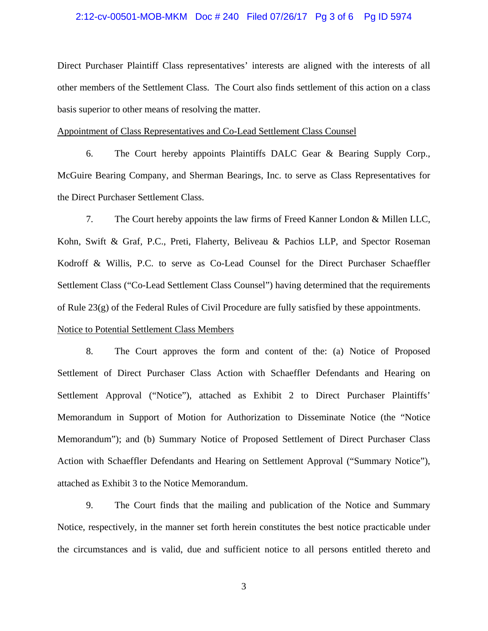#### 2:12-cv-00501-MOB-MKM Doc # 240 Filed 07/26/17 Pg 3 of 6 Pg ID 5974

Direct Purchaser Plaintiff Class representatives' interests are aligned with the interests of all other members of the Settlement Class. The Court also finds settlement of this action on a class basis superior to other means of resolving the matter.

#### Appointment of Class Representatives and Co-Lead Settlement Class Counsel

6. The Court hereby appoints Plaintiffs DALC Gear & Bearing Supply Corp., McGuire Bearing Company, and Sherman Bearings, Inc. to serve as Class Representatives for the Direct Purchaser Settlement Class.

7. The Court hereby appoints the law firms of Freed Kanner London & Millen LLC, Kohn, Swift & Graf, P.C., Preti, Flaherty, Beliveau & Pachios LLP, and Spector Roseman Kodroff & Willis, P.C. to serve as Co-Lead Counsel for the Direct Purchaser Schaeffler Settlement Class ("Co-Lead Settlement Class Counsel") having determined that the requirements of Rule 23(g) of the Federal Rules of Civil Procedure are fully satisfied by these appointments.

# Notice to Potential Settlement Class Members

8. The Court approves the form and content of the: (a) Notice of Proposed Settlement of Direct Purchaser Class Action with Schaeffler Defendants and Hearing on Settlement Approval ("Notice"), attached as Exhibit 2 to Direct Purchaser Plaintiffs' Memorandum in Support of Motion for Authorization to Disseminate Notice (the "Notice Memorandum"); and (b) Summary Notice of Proposed Settlement of Direct Purchaser Class Action with Schaeffler Defendants and Hearing on Settlement Approval ("Summary Notice"), attached as Exhibit 3 to the Notice Memorandum.

9. The Court finds that the mailing and publication of the Notice and Summary Notice, respectively, in the manner set forth herein constitutes the best notice practicable under the circumstances and is valid, due and sufficient notice to all persons entitled thereto and

3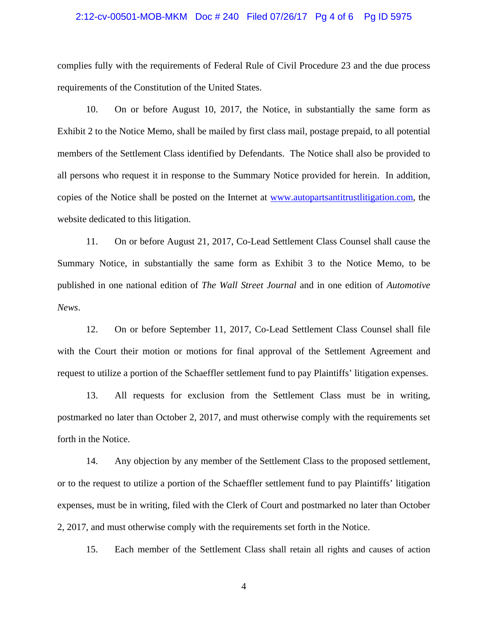#### 2:12-cv-00501-MOB-MKM Doc # 240 Filed 07/26/17 Pg 4 of 6 Pg ID 5975

complies fully with the requirements of Federal Rule of Civil Procedure 23 and the due process requirements of the Constitution of the United States.

10. On or before August 10, 2017, the Notice, in substantially the same form as Exhibit 2 to the Notice Memo, shall be mailed by first class mail, postage prepaid, to all potential members of the Settlement Class identified by Defendants. The Notice shall also be provided to all persons who request it in response to the Summary Notice provided for herein. In addition, copies of the Notice shall be posted on the Internet at www.autopartsantitrustlitigation.com, the website dedicated to this litigation.

11. On or before August 21, 2017, Co-Lead Settlement Class Counsel shall cause the Summary Notice, in substantially the same form as Exhibit 3 to the Notice Memo, to be published in one national edition of *The Wall Street Journal* and in one edition of *Automotive News*.

12. On or before September 11, 2017, Co-Lead Settlement Class Counsel shall file with the Court their motion or motions for final approval of the Settlement Agreement and request to utilize a portion of the Schaeffler settlement fund to pay Plaintiffs' litigation expenses.

13. All requests for exclusion from the Settlement Class must be in writing, postmarked no later than October 2, 2017, and must otherwise comply with the requirements set forth in the Notice.

14. Any objection by any member of the Settlement Class to the proposed settlement, or to the request to utilize a portion of the Schaeffler settlement fund to pay Plaintiffs' litigation expenses, must be in writing, filed with the Clerk of Court and postmarked no later than October 2, 2017, and must otherwise comply with the requirements set forth in the Notice.

15. Each member of the Settlement Class shall retain all rights and causes of action

4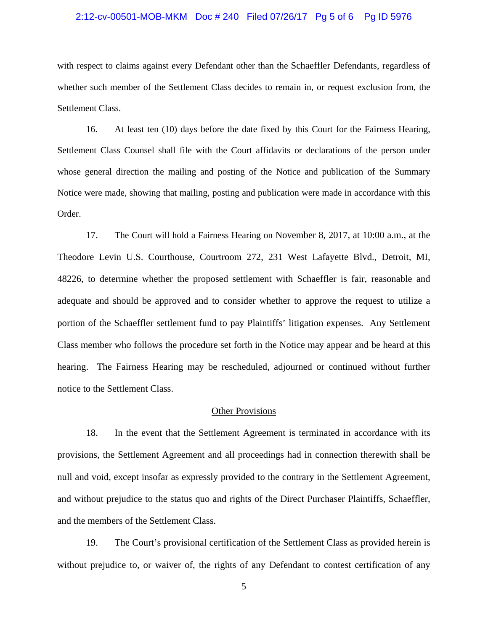#### 2:12-cv-00501-MOB-MKM Doc # 240 Filed 07/26/17 Pg 5 of 6 Pg ID 5976

with respect to claims against every Defendant other than the Schaeffler Defendants, regardless of whether such member of the Settlement Class decides to remain in, or request exclusion from, the Settlement Class.

16. At least ten (10) days before the date fixed by this Court for the Fairness Hearing, Settlement Class Counsel shall file with the Court affidavits or declarations of the person under whose general direction the mailing and posting of the Notice and publication of the Summary Notice were made, showing that mailing, posting and publication were made in accordance with this Order.

17. The Court will hold a Fairness Hearing on November 8, 2017, at 10:00 a.m., at the Theodore Levin U.S. Courthouse, Courtroom 272, 231 West Lafayette Blvd., Detroit, MI, 48226, to determine whether the proposed settlement with Schaeffler is fair, reasonable and adequate and should be approved and to consider whether to approve the request to utilize a portion of the Schaeffler settlement fund to pay Plaintiffs' litigation expenses. Any Settlement Class member who follows the procedure set forth in the Notice may appear and be heard at this hearing. The Fairness Hearing may be rescheduled, adjourned or continued without further notice to the Settlement Class.

#### Other Provisions

18. In the event that the Settlement Agreement is terminated in accordance with its provisions, the Settlement Agreement and all proceedings had in connection therewith shall be null and void, except insofar as expressly provided to the contrary in the Settlement Agreement, and without prejudice to the status quo and rights of the Direct Purchaser Plaintiffs, Schaeffler, and the members of the Settlement Class.

19. The Court's provisional certification of the Settlement Class as provided herein is without prejudice to, or waiver of, the rights of any Defendant to contest certification of any

5